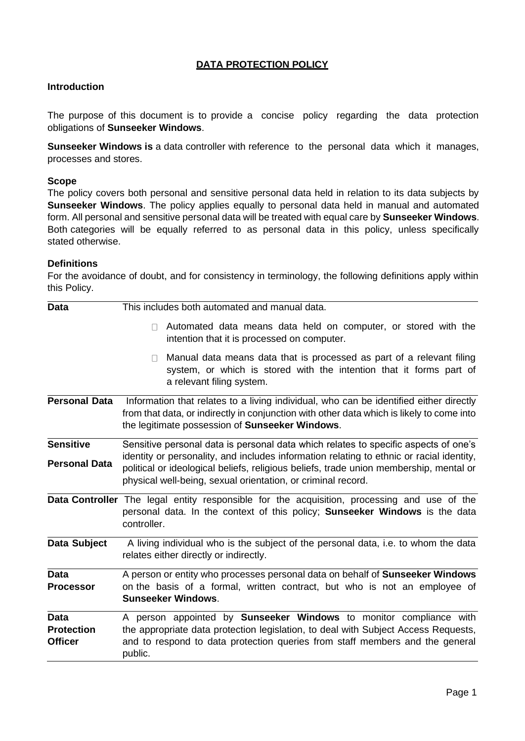## **DATA PROTECTION POLICY**

## **Introduction**

The purpose of this document is to provide a concise policy regarding the data protection obligations of **Sunseeker Windows**.

**Sunseeker Windows is** a data controller with reference to the personal data which it manages, processes and stores.

#### **Scope**

The policy covers both personal and sensitive personal data held in relation to its data subjects by **Sunseeker Windows**. The policy applies equally to personal data held in manual and automated form. All personal and sensitive personal data will be treated with equal care by **Sunseeker Windows**. Both categories will be equally referred to as personal data in this policy, unless specifically stated otherwise.

#### **Definitions**

For the avoidance of doubt, and for consistency in terminology, the following definitions apply within this Policy.

| Data                                               | This includes both automated and manual data.                                                                                                                                                                                                              |  |  |  |  |  |
|----------------------------------------------------|------------------------------------------------------------------------------------------------------------------------------------------------------------------------------------------------------------------------------------------------------------|--|--|--|--|--|
|                                                    | Automated data means data held on computer, or stored with the<br>$\Box$<br>intention that it is processed on computer.                                                                                                                                    |  |  |  |  |  |
|                                                    | Manual data means data that is processed as part of a relevant filing<br>system, or which is stored with the intention that it forms part of<br>a relevant filing system.                                                                                  |  |  |  |  |  |
| <b>Personal Data</b>                               | Information that relates to a living individual, who can be identified either directly<br>from that data, or indirectly in conjunction with other data which is likely to come into<br>the legitimate possession of Sunseeker Windows.                     |  |  |  |  |  |
| <b>Sensitive</b>                                   | Sensitive personal data is personal data which relates to specific aspects of one's                                                                                                                                                                        |  |  |  |  |  |
| <b>Personal Data</b>                               | identity or personality, and includes information relating to ethnic or racial identity,<br>political or ideological beliefs, religious beliefs, trade union membership, mental or<br>physical well-being, sexual orientation, or criminal record.         |  |  |  |  |  |
|                                                    | <b>Data Controller</b> The legal entity responsible for the acquisition, processing and use of the<br>personal data. In the context of this policy; Sunseeker Windows is the data<br>controller.                                                           |  |  |  |  |  |
| Data Subject                                       | A living individual who is the subject of the personal data, i.e. to whom the data<br>relates either directly or indirectly.                                                                                                                               |  |  |  |  |  |
| <b>Data</b><br><b>Processor</b>                    | A person or entity who processes personal data on behalf of Sunseeker Windows<br>on the basis of a formal, written contract, but who is not an employee of<br><b>Sunseeker Windows.</b>                                                                    |  |  |  |  |  |
| <b>Data</b><br><b>Protection</b><br><b>Officer</b> | A person appointed by <b>Sunseeker Windows</b> to monitor compliance with<br>the appropriate data protection legislation, to deal with Subject Access Requests,<br>and to respond to data protection queries from staff members and the general<br>public. |  |  |  |  |  |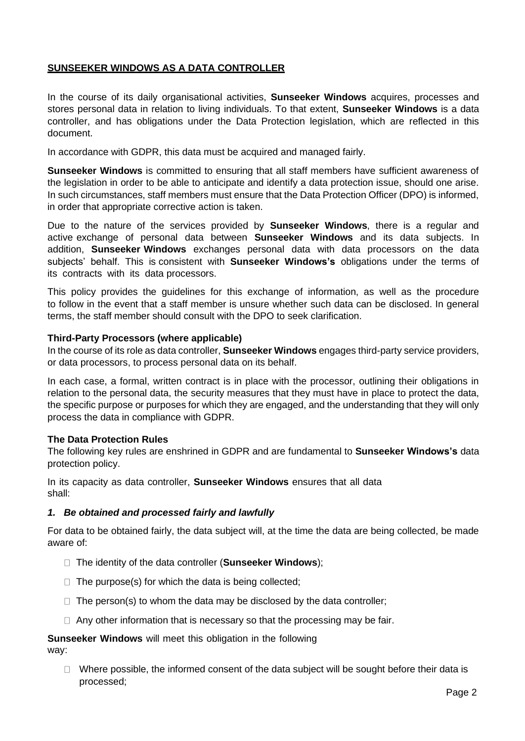## **SUNSEEKER WINDOWS AS A DATA CONTROLLER**

In the course of its daily organisational activities, **Sunseeker Windows** acquires, processes and stores personal data in relation to living individuals. To that extent, **Sunseeker Windows** is a data controller, and has obligations under the Data Protection legislation, which are reflected in this document.

In accordance with GDPR, this data must be acquired and managed fairly.

**Sunseeker Windows** is committed to ensuring that all staff members have sufficient awareness of the legislation in order to be able to anticipate and identify a data protection issue, should one arise. In such circumstances, staff members must ensure that the Data Protection Officer (DPO) is informed, in order that appropriate corrective action is taken.

Due to the nature of the services provided by **Sunseeker Windows**, there is a regular and active exchange of personal data between **Sunseeker Windows** and its data subjects. In addition, **Sunseeker Windows** exchanges personal data with data processors on the data subjects' behalf. This is consistent with **Sunseeker Windows's** obligations under the terms of its contracts with its data processors.

This policy provides the guidelines for this exchange of information, as well as the procedure to follow in the event that a staff member is unsure whether such data can be disclosed. In general terms, the staff member should consult with the DPO to seek clarification.

#### **Third-Party Processors (where applicable)**

In the course of its role as data controller, **Sunseeker Windows** engages third-party service providers, or data processors, to process personal data on its behalf.

In each case, a formal, written contract is in place with the processor, outlining their obligations in relation to the personal data, the security measures that they must have in place to protect the data, the specific purpose or purposes for which they are engaged, and the understanding that they will only process the data in compliance with GDPR.

## **The Data Protection Rules**

The following key rules are enshrined in GDPR and are fundamental to **Sunseeker Windows's** data protection policy.

In its capacity as data controller, **Sunseeker Windows** ensures that all data shall:

## *1. Be obtained and processed fairly and lawfully*

For data to be obtained fairly, the data subject will, at the time the data are being collected, be made aware of:

- The identity of the data controller (**Sunseeker Windows**);
- $\Box$  The purpose(s) for which the data is being collected;
- $\Box$  The person(s) to whom the data may be disclosed by the data controller;
- $\Box$  Any other information that is necessary so that the processing may be fair.

# **Sunseeker Windows** will meet this obligation in the following

way:

 $\Box$  Where possible, the informed consent of the data subject will be sought before their data is processed;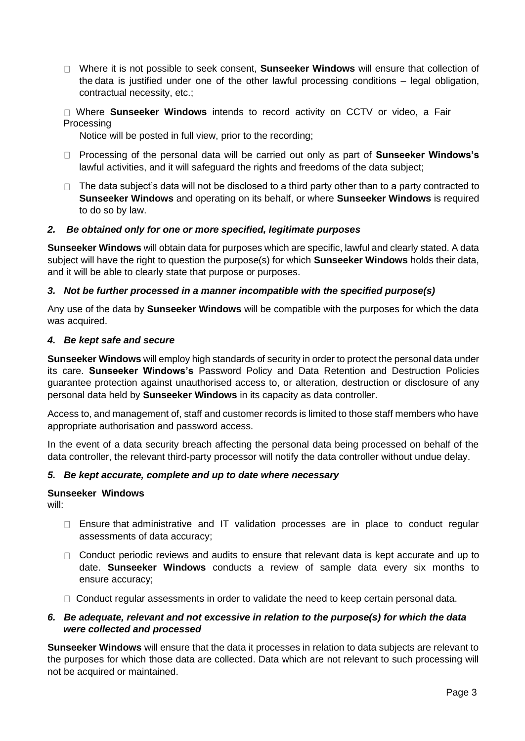- Where it is not possible to seek consent, **Sunseeker Windows** will ensure that collection of the data is justified under one of the other lawful processing conditions – legal obligation, contractual necessity, etc.;
- Where **Sunseeker Windows** intends to record activity on CCTV or video, a Fair **Processing**

Notice will be posted in full view, prior to the recording;

- □ Processing of the personal data will be carried out only as part of **Sunseeker Windows's** lawful activities, and it will safeguard the rights and freedoms of the data subject;
- $\Box$  The data subject's data will not be disclosed to a third party other than to a party contracted to **Sunseeker Windows** and operating on its behalf, or where **Sunseeker Windows** is required to do so by law.

## *2. Be obtained only for one or more specified, legitimate purposes*

**Sunseeker Windows** will obtain data for purposes which are specific, lawful and clearly stated. A data subject will have the right to question the purpose(s) for which **Sunseeker Windows** holds their data, and it will be able to clearly state that purpose or purposes.

## *3. Not be further processed in a manner incompatible with the specified purpose(s)*

Any use of the data by **Sunseeker Windows** will be compatible with the purposes for which the data was acquired.

#### *4. Be kept safe and secure*

**Sunseeker Windows** will employ high standards of security in order to protect the personal data under its care. **Sunseeker Windows's** Password Policy and Data Retention and Destruction Policies guarantee protection against unauthorised access to, or alteration, destruction or disclosure of any personal data held by **Sunseeker Windows** in its capacity as data controller.

Access to, and management of, staff and customer records is limited to those staff members who have appropriate authorisation and password access.

In the event of a data security breach affecting the personal data being processed on behalf of the data controller, the relevant third-party processor will notify the data controller without undue delay.

## *5. Be kept accurate, complete and up to date where necessary*

## **Sunseeker Windows**

will:

- $\Box$  Ensure that administrative and IT validation processes are in place to conduct regular assessments of data accuracy;
- $\Box$  Conduct periodic reviews and audits to ensure that relevant data is kept accurate and up to date. **Sunseeker Windows** conducts a review of sample data every six months to ensure accuracy;
- $\Box$  Conduct regular assessments in order to validate the need to keep certain personal data.

## *6. Be adequate, relevant and not excessive in relation to the purpose(s) for which the data were collected and processed*

**Sunseeker Windows** will ensure that the data it processes in relation to data subjects are relevant to the purposes for which those data are collected. Data which are not relevant to such processing will not be acquired or maintained.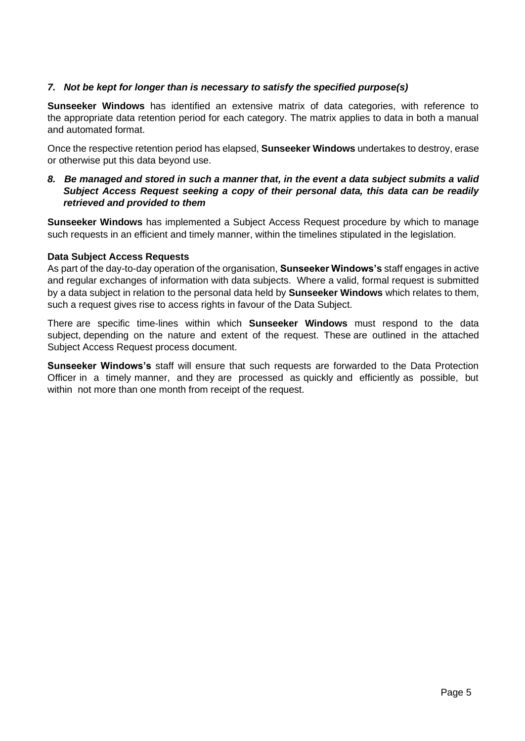## *7. Not be kept for longer than is necessary to satisfy the specified purpose(s)*

**Sunseeker Windows** has identified an extensive matrix of data categories, with reference to the appropriate data retention period for each category. The matrix applies to data in both a manual and automated format.

Once the respective retention period has elapsed, **Sunseeker Windows** undertakes to destroy, erase or otherwise put this data beyond use.

*8. Be managed and stored in such a manner that, in the event a data subject submits a valid Subject Access Request seeking a copy of their personal data, this data can be readily retrieved and provided to them*

**Sunseeker Windows** has implemented a Subject Access Request procedure by which to manage such requests in an efficient and timely manner, within the timelines stipulated in the legislation.

## **Data Subject Access Requests**

As part of the day-to-day operation of the organisation, **Sunseeker Windows's** staff engages in active and regular exchanges of information with data subjects. Where a valid, formal request is submitted by a data subject in relation to the personal data held by **Sunseeker Windows** which relates to them, such a request gives rise to access rights in favour of the Data Subject.

There are specific time-lines within which **Sunseeker Windows** must respond to the data subject, depending on the nature and extent of the request. These are outlined in the attached Subject Access Request process document.

**Sunseeker Windows's** staff will ensure that such requests are forwarded to the Data Protection Officer in a timely manner, and they are processed as quickly and efficiently as possible, but within not more than one month from receipt of the request.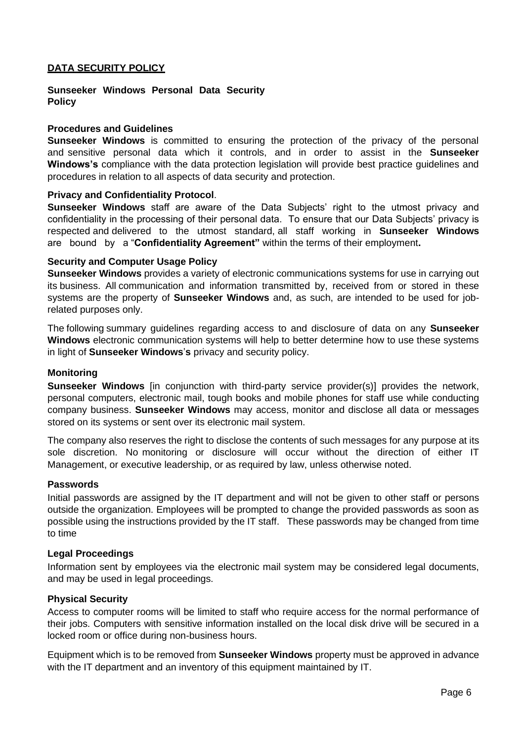## **DATA SECURITY POLICY**

#### **Sunseeker Windows Personal Data Security Policy**

#### **Procedures and Guidelines**

**Sunseeker Windows** is committed to ensuring the protection of the privacy of the personal and sensitive personal data which it controls, and in order to assist in the **Sunseeker Windows's** compliance with the data protection legislation will provide best practice guidelines and procedures in relation to all aspects of data security and protection.

#### **Privacy and Confidentiality Protocol**.

**Sunseeker Windows** staff are aware of the Data Subjects' right to the utmost privacy and confidentiality in the processing of their personal data. To ensure that our Data Subjects' privacy is respected and delivered to the utmost standard, all staff working in **Sunseeker Windows**  are bound by a "**Confidentiality Agreement"** within the terms of their employment**.**

#### **Security and Computer Usage Policy**

**Sunseeker Windows** provides a variety of electronic communications systems for use in carrying out its business. All communication and information transmitted by, received from or stored in these systems are the property of **Sunseeker Windows** and, as such, are intended to be used for jobrelated purposes only.

The following summary guidelines regarding access to and disclosure of data on any **Sunseeker Windows** electronic communication systems will help to better determine how to use these systems in light of **Sunseeker Windows**'**s** privacy and security policy.

#### **Monitoring**

**Sunseeker Windows** [in conjunction with third-party service provider(s)] provides the network, personal computers, electronic mail, tough books and mobile phones for staff use while conducting company business. **Sunseeker Windows** may access, monitor and disclose all data or messages stored on its systems or sent over its electronic mail system.

The company also reserves the right to disclose the contents of such messages for any purpose at its sole discretion. No monitoring or disclosure will occur without the direction of either IT Management, or executive leadership, or as required by law, unless otherwise noted.

#### **Passwords**

Initial passwords are assigned by the IT department and will not be given to other staff or persons outside the organization. Employees will be prompted to change the provided passwords as soon as possible using the instructions provided by the IT staff. These passwords may be changed from time to time

#### **Legal Proceedings**

Information sent by employees via the electronic mail system may be considered legal documents, and may be used in legal proceedings.

#### **Physical Security**

Access to computer rooms will be limited to staff who require access for the normal performance of their jobs. Computers with sensitive information installed on the local disk drive will be secured in a locked room or office during non-business hours.

Equipment which is to be removed from **Sunseeker Windows** property must be approved in advance with the IT department and an inventory of this equipment maintained by IT.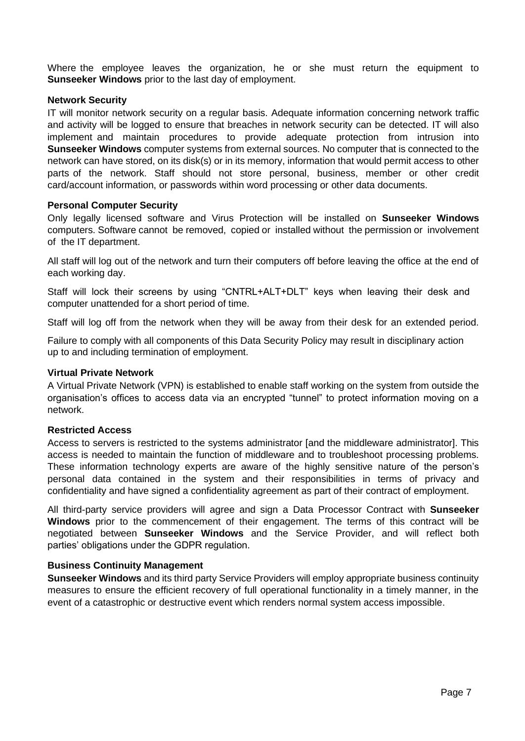Where the employee leaves the organization, he or she must return the equipment to **Sunseeker Windows** prior to the last day of employment.

#### **Network Security**

IT will monitor network security on a regular basis. Adequate information concerning network traffic and activity will be logged to ensure that breaches in network security can be detected. IT will also implement and maintain procedures to provide adequate protection from intrusion into **Sunseeker Windows** computer systems from external sources. No computer that is connected to the network can have stored, on its disk(s) or in its memory, information that would permit access to other parts of the network. Staff should not store personal, business, member or other credit card/account information, or passwords within word processing or other data documents.

#### **Personal Computer Security**

Only legally licensed software and Virus Protection will be installed on **Sunseeker Windows**  computers. Software cannot be removed, copied or installed without the permission or involvement of the IT department.

All staff will log out of the network and turn their computers off before leaving the office at the end of each working day.

Staff will lock their screens by using "CNTRL+ALT+DLT" keys when leaving their desk and computer unattended for a short period of time.

Staff will log off from the network when they will be away from their desk for an extended period.

Failure to comply with all components of this Data Security Policy may result in disciplinary action up to and including termination of employment.

#### **Virtual Private Network**

A Virtual Private Network (VPN) is established to enable staff working on the system from outside the organisation's offices to access data via an encrypted "tunnel" to protect information moving on a network.

#### **Restricted Access**

Access to servers is restricted to the systems administrator [and the middleware administrator]. This access is needed to maintain the function of middleware and to troubleshoot processing problems. These information technology experts are aware of the highly sensitive nature of the person's personal data contained in the system and their responsibilities in terms of privacy and confidentiality and have signed a confidentiality agreement as part of their contract of employment.

All third-party service providers will agree and sign a Data Processor Contract with **Sunseeker Windows** prior to the commencement of their engagement. The terms of this contract will be negotiated between **Sunseeker Windows** and the Service Provider, and will reflect both parties' obligations under the GDPR regulation.

## **Business Continuity Management**

**Sunseeker Windows** and its third party Service Providers will employ appropriate business continuity measures to ensure the efficient recovery of full operational functionality in a timely manner, in the event of a catastrophic or destructive event which renders normal system access impossible.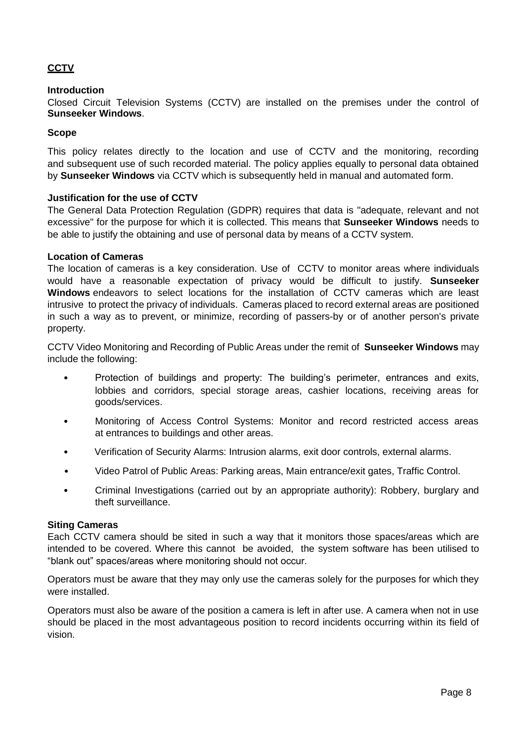## **CCTV**

### **Introduction**

Closed Circuit Television Systems (CCTV) are installed on the premises under the control of **Sunseeker Windows**.

#### **Scope**

This policy relates directly to the location and use of CCTV and the monitoring, recording and subsequent use of such recorded material. The policy applies equally to personal data obtained by **Sunseeker Windows** via CCTV which is subsequently held in manual and automated form.

#### **Justification for the use of CCTV**

The General Data Protection Regulation (GDPR) requires that data is "adequate, relevant and not excessive" for the purpose for which it is collected. This means that **Sunseeker Windows** needs to be able to justify the obtaining and use of personal data by means of a CCTV system.

#### **Location of Cameras**

The location of cameras is a key consideration. Use of CCTV to monitor areas where individuals would have a reasonable expectation of privacy would be difficult to justify. **Sunseeker Windows** endeavors to select locations for the installation of CCTV cameras which are least intrusive to protect the privacy of individuals. Cameras placed to record external areas are positioned in such a way as to prevent, or minimize, recording of passers-by or of another person's private property.

CCTV Video Monitoring and Recording of Public Areas under the remit of **Sunseeker Windows** may include the following:

- Protection of buildings and property: The building's perimeter, entrances and exits, lobbies and corridors, special storage areas, cashier locations, receiving areas for goods/services.
- Monitoring of Access Control Systems: Monitor and record restricted access areas at entrances to buildings and other areas.
- Verification of Security Alarms: Intrusion alarms, exit door controls, external alarms.
- Video Patrol of Public Areas: Parking areas, Main entrance/exit gates, Traffic Control.
- Criminal Investigations (carried out by an appropriate authority): Robbery, burglary and theft surveillance.

#### **Siting Cameras**

Each CCTV camera should be sited in such a way that it monitors those spaces/areas which are intended to be covered. Where this cannot be avoided, the system software has been utilised to "blank out" spaces/areas where monitoring should not occur.

Operators must be aware that they may only use the cameras solely for the purposes for which they were installed.

Operators must also be aware of the position a camera is left in after use. A camera when not in use should be placed in the most advantageous position to record incidents occurring within its field of vision.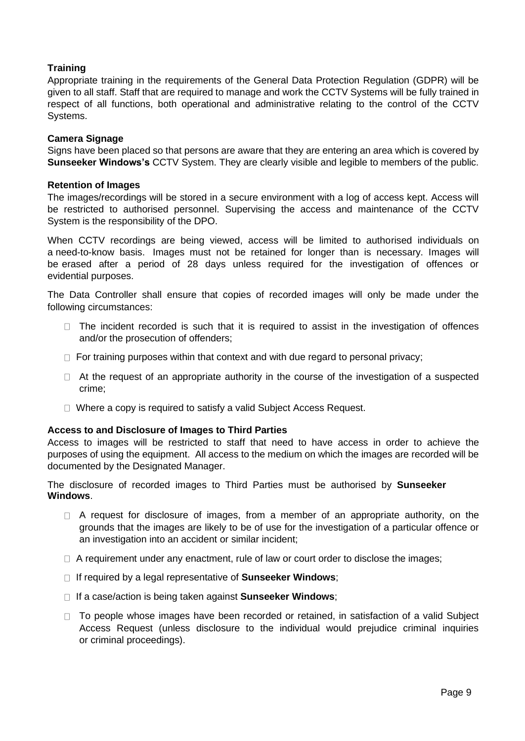## **Training**

Appropriate training in the requirements of the General Data Protection Regulation (GDPR) will be given to all staff. Staff that are required to manage and work the CCTV Systems will be fully trained in respect of all functions, both operational and administrative relating to the control of the CCTV Systems.

#### **Camera Signage**

Signs have been placed so that persons are aware that they are entering an area which is covered by **Sunseeker Windows's** CCTV System. They are clearly visible and legible to members of the public.

#### **Retention of Images**

The images/recordings will be stored in a secure environment with a log of access kept. Access will be restricted to authorised personnel. Supervising the access and maintenance of the CCTV System is the responsibility of the DPO.

When CCTV recordings are being viewed, access will be limited to authorised individuals on a need-to-know basis. Images must not be retained for longer than is necessary. Images will be erased after a period of 28 days unless required for the investigation of offences or evidential purposes.

The Data Controller shall ensure that copies of recorded images will only be made under the following circumstances:

- $\Box$  The incident recorded is such that it is required to assist in the investigation of offences and/or the prosecution of offenders;
- $\Box$  For training purposes within that context and with due regard to personal privacy;
- $\Box$  At the request of an appropriate authority in the course of the investigation of a suspected crime;
- □ Where a copy is required to satisfy a valid Subject Access Request.

#### **Access to and Disclosure of Images to Third Parties**

Access to images will be restricted to staff that need to have access in order to achieve the purposes of using the equipment. All access to the medium on which the images are recorded will be documented by the Designated Manager.

The disclosure of recorded images to Third Parties must be authorised by **Sunseeker Windows**.

- $\Box$  A request for disclosure of images, from a member of an appropriate authority, on the grounds that the images are likely to be of use for the investigation of a particular offence or an investigation into an accident or similar incident;
- $\Box$  A requirement under any enactment, rule of law or court order to disclose the images;
- If required by a legal representative of **Sunseeker Windows**;
- If a case/action is being taken against **Sunseeker Windows**;
- $\Box$  To people whose images have been recorded or retained, in satisfaction of a valid Subject Access Request (unless disclosure to the individual would prejudice criminal inquiries or criminal proceedings).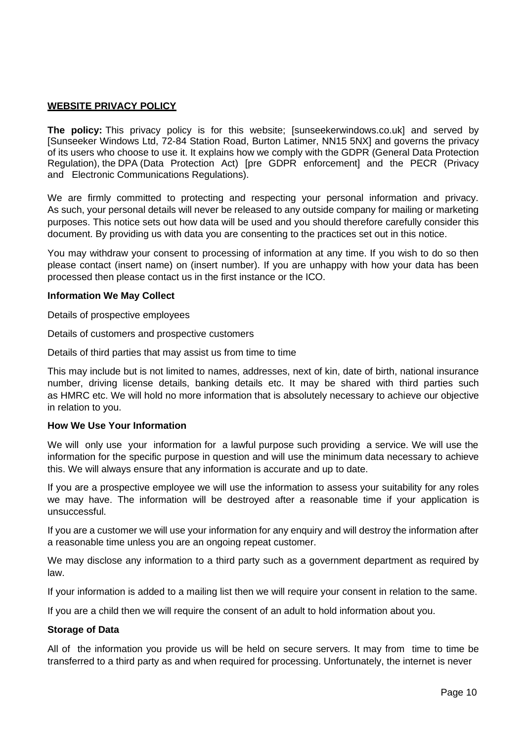## **WEBSITE PRIVACY POLICY**

**The policy:** This privacy policy is for this website; [sunseekerwindows.co.uk] and served by [Sunseeker Windows Ltd, 72-84 Station Road, Burton Latimer, NN15 5NX] and governs the privacy of its users who choose to use it. It explains how we comply with the GDPR (General Data Protection Regulation), the DPA (Data Protection Act) [pre GDPR enforcement] and the PECR (Privacy and Electronic Communications Regulations).

We are firmly committed to protecting and respecting your personal information and privacy. As such, your personal details will never be released to any outside company for mailing or marketing purposes. This notice sets out how data will be used and you should therefore carefully consider this document. By providing us with data you are consenting to the practices set out in this notice.

You may withdraw your consent to processing of information at any time. If you wish to do so then please contact (insert name) on (insert number). If you are unhappy with how your data has been processed then please contact us in the first instance or the ICO.

## **Information We May Collect**

Details of prospective employees

Details of customers and prospective customers

Details of third parties that may assist us from time to time

This may include but is not limited to names, addresses, next of kin, date of birth, national insurance number, driving license details, banking details etc. It may be shared with third parties such as HMRC etc. We will hold no more information that is absolutely necessary to achieve our objective in relation to you.

## **How We Use Your Information**

We will only use your information for a lawful purpose such providing a service. We will use the information for the specific purpose in question and will use the minimum data necessary to achieve this. We will always ensure that any information is accurate and up to date.

If you are a prospective employee we will use the information to assess your suitability for any roles we may have. The information will be destroyed after a reasonable time if your application is unsuccessful.

If you are a customer we will use your information for any enquiry and will destroy the information after a reasonable time unless you are an ongoing repeat customer.

We may disclose any information to a third party such as a government department as required by law.

If your information is added to a mailing list then we will require your consent in relation to the same.

If you are a child then we will require the consent of an adult to hold information about you.

#### **Storage of Data**

All of the information you provide us will be held on secure servers. It may from time to time be transferred to a third party as and when required for processing. Unfortunately, the internet is never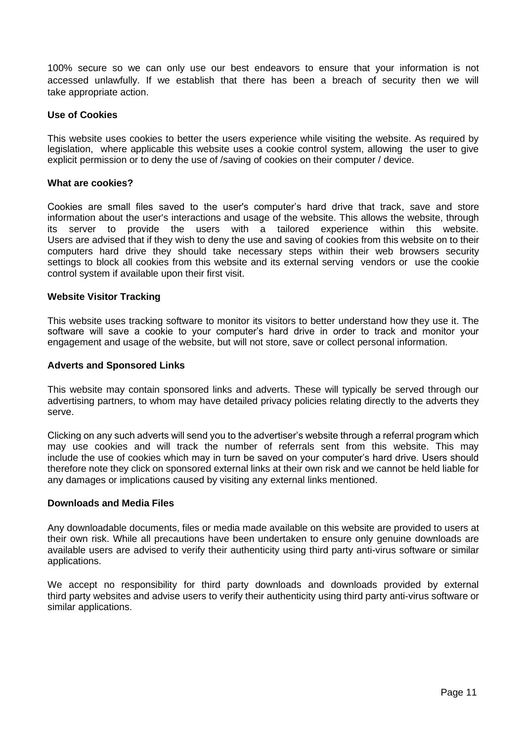100% secure so we can only use our best endeavors to ensure that your information is not accessed unlawfully. If we establish that there has been a breach of security then we will take appropriate action.

#### **Use of Cookies**

This website uses cookies to better the users experience while visiting the website. As required by legislation, where applicable this website uses a cookie control system, allowing the user to give explicit permission or to deny the use of /saving of cookies on their computer / device.

#### **What are cookies?**

Cookies are small files saved to the user's computer's hard drive that track, save and store information about the user's interactions and usage of the website. This allows the website, through its server to provide the users with a tailored experience within this website. Users are advised that if they wish to deny the use and saving of cookies from this website on to their computers hard drive they should take necessary steps within their web browsers security settings to block all cookies from this website and its external serving vendors or use the cookie control system if available upon their first visit.

#### **Website Visitor Tracking**

This website uses tracking software to monitor its visitors to better understand how they use it. The software will save a cookie to your computer's hard drive in order to track and monitor your engagement and usage of the website, but will not store, save or collect personal information.

#### **Adverts and Sponsored Links**

This website may contain sponsored links and adverts. These will typically be served through our advertising partners, to whom may have detailed privacy policies relating directly to the adverts they serve.

Clicking on any such adverts will send you to the advertiser's website through a referral program which may use cookies and will track the number of referrals sent from this website. This may include the use of cookies which may in turn be saved on your computer's hard drive. Users should therefore note they click on sponsored external links at their own risk and we cannot be held liable for any damages or implications caused by visiting any external links mentioned.

#### **Downloads and Media Files**

Any downloadable documents, files or media made available on this website are provided to users at their own risk. While all precautions have been undertaken to ensure only genuine downloads are available users are advised to verify their authenticity using third party anti-virus software or similar applications.

We accept no responsibility for third party downloads and downloads provided by external third party websites and advise users to verify their authenticity using third party anti-virus software or similar applications.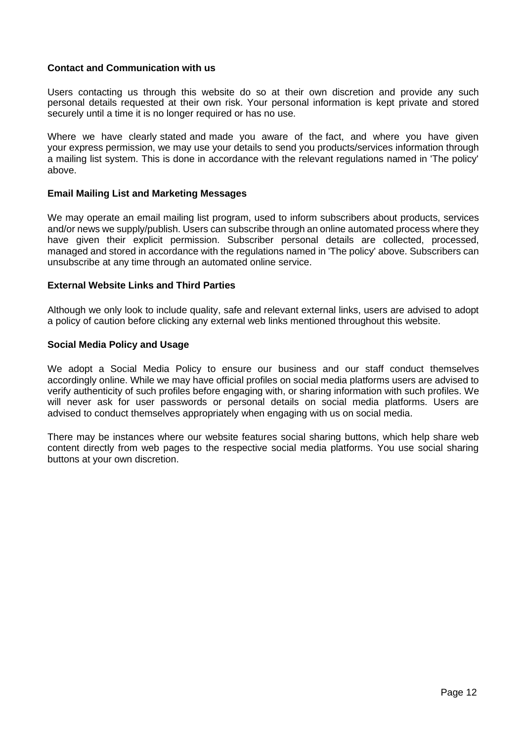## **Contact and Communication with us**

Users contacting us through this website do so at their own discretion and provide any such personal details requested at their own risk. Your personal information is kept private and stored securely until a time it is no longer required or has no use.

Where we have clearly stated and made you aware of the fact, and where you have given your express permission, we may use your details to send you products/services information through a mailing list system. This is done in accordance with the relevant regulations named in 'The policy' above.

#### **Email Mailing List and Marketing Messages**

We may operate an email mailing list program, used to inform subscribers about products, services and/or news we supply/publish. Users can subscribe through an online automated process where they have given their explicit permission. Subscriber personal details are collected, processed, managed and stored in accordance with the regulations named in 'The policy' above. Subscribers can unsubscribe at any time through an automated online service.

#### **External Website Links and Third Parties**

Although we only look to include quality, safe and relevant external links, users are advised to adopt a policy of caution before clicking any external web links mentioned throughout this website.

#### **Social Media Policy and Usage**

We adopt a Social Media Policy to ensure our business and our staff conduct themselves accordingly online. While we may have official profiles on social media platforms users are advised to verify authenticity of such profiles before engaging with, or sharing information with such profiles. We will never ask for user passwords or personal details on social media platforms. Users are advised to conduct themselves appropriately when engaging with us on social media.

There may be instances where our website features social sharing buttons, which help share web content directly from web pages to the respective social media platforms. You use social sharing buttons at your own discretion.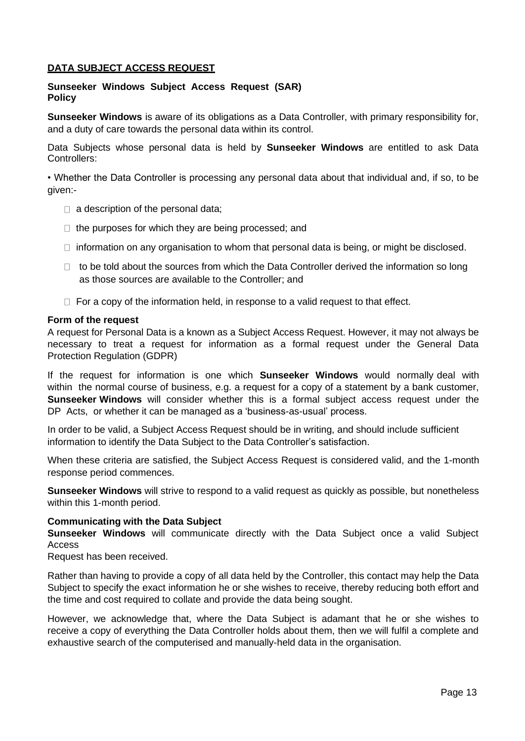## **DATA SUBJECT ACCESS REQUEST**

### **Sunseeker Windows Subject Access Request (SAR) Policy**

**Sunseeker Windows** is aware of its obligations as a Data Controller, with primary responsibility for, and a duty of care towards the personal data within its control.

Data Subjects whose personal data is held by **Sunseeker Windows** are entitled to ask Data Controllers:

• Whether the Data Controller is processing any personal data about that individual and, if so, to be given:-

- $\Box$  a description of the personal data;
- $\Box$  the purposes for which they are being processed; and
- $\Box$  information on any organisation to whom that personal data is being, or might be disclosed.
- $\Box$  to be told about the sources from which the Data Controller derived the information so long as those sources are available to the Controller; and
- $\Box$  For a copy of the information held, in response to a valid request to that effect.

#### **Form of the request**

A request for Personal Data is a known as a Subject Access Request. However, it may not always be necessary to treat a request for information as a formal request under the General Data Protection Regulation (GDPR)

If the request for information is one which **Sunseeker Windows** would normally deal with within the normal course of business, e.g. a request for a copy of a statement by a bank customer, **Sunseeker Windows** will consider whether this is a formal subject access request under the DP Acts, or whether it can be managed as a 'business-as-usual' process.

In order to be valid, a Subject Access Request should be in writing, and should include sufficient information to identify the Data Subject to the Data Controller's satisfaction.

When these criteria are satisfied, the Subject Access Request is considered valid, and the 1-month response period commences.

**Sunseeker Windows** will strive to respond to a valid request as quickly as possible, but nonetheless within this 1-month period.

#### **Communicating with the Data Subject**

**Sunseeker Windows** will communicate directly with the Data Subject once a valid Subject Access

Request has been received.

Rather than having to provide a copy of all data held by the Controller, this contact may help the Data Subject to specify the exact information he or she wishes to receive, thereby reducing both effort and the time and cost required to collate and provide the data being sought.

However, we acknowledge that, where the Data Subject is adamant that he or she wishes to receive a copy of everything the Data Controller holds about them, then we will fulfil a complete and exhaustive search of the computerised and manually-held data in the organisation.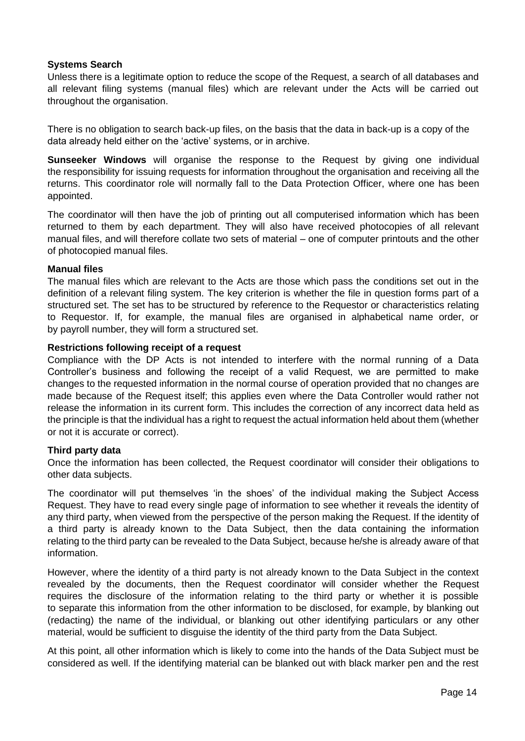## **Systems Search**

Unless there is a legitimate option to reduce the scope of the Request, a search of all databases and all relevant filing systems (manual files) which are relevant under the Acts will be carried out throughout the organisation.

There is no obligation to search back-up files, on the basis that the data in back-up is a copy of the data already held either on the 'active' systems, or in archive.

**Sunseeker Windows** will organise the response to the Request by giving one individual the responsibility for issuing requests for information throughout the organisation and receiving all the returns. This coordinator role will normally fall to the Data Protection Officer, where one has been appointed.

The coordinator will then have the job of printing out all computerised information which has been returned to them by each department. They will also have received photocopies of all relevant manual files, and will therefore collate two sets of material – one of computer printouts and the other of photocopied manual files.

#### **Manual files**

The manual files which are relevant to the Acts are those which pass the conditions set out in the definition of a relevant filing system. The key criterion is whether the file in question forms part of a structured set. The set has to be structured by reference to the Requestor or characteristics relating to Requestor. If, for example, the manual files are organised in alphabetical name order, or by payroll number, they will form a structured set.

#### **Restrictions following receipt of a request**

Compliance with the DP Acts is not intended to interfere with the normal running of a Data Controller's business and following the receipt of a valid Request, we are permitted to make changes to the requested information in the normal course of operation provided that no changes are made because of the Request itself; this applies even where the Data Controller would rather not release the information in its current form. This includes the correction of any incorrect data held as the principle is that the individual has a right to request the actual information held about them (whether or not it is accurate or correct).

#### **Third party data**

Once the information has been collected, the Request coordinator will consider their obligations to other data subjects.

The coordinator will put themselves 'in the shoes' of the individual making the Subject Access Request. They have to read every single page of information to see whether it reveals the identity of any third party, when viewed from the perspective of the person making the Request. If the identity of a third party is already known to the Data Subject, then the data containing the information relating to the third party can be revealed to the Data Subject, because he/she is already aware of that information.

However, where the identity of a third party is not already known to the Data Subject in the context revealed by the documents, then the Request coordinator will consider whether the Request requires the disclosure of the information relating to the third party or whether it is possible to separate this information from the other information to be disclosed, for example, by blanking out (redacting) the name of the individual, or blanking out other identifying particulars or any other material, would be sufficient to disguise the identity of the third party from the Data Subject.

At this point, all other information which is likely to come into the hands of the Data Subject must be considered as well. If the identifying material can be blanked out with black marker pen and the rest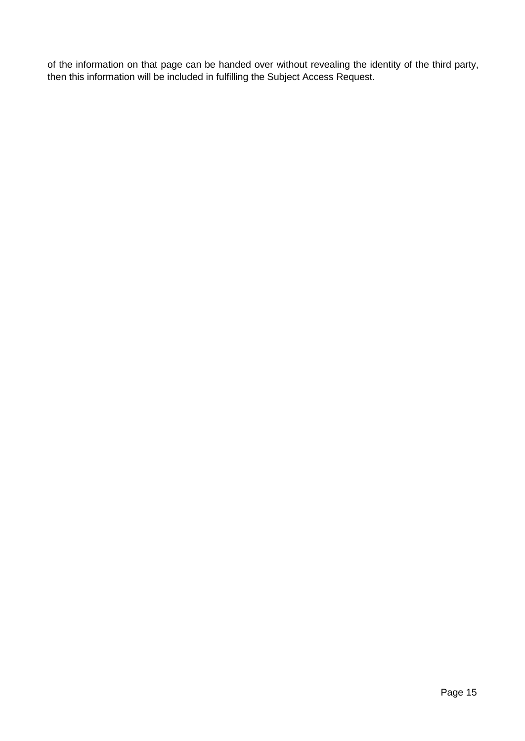of the information on that page can be handed over without revealing the identity of the third party, then this information will be included in fulfilling the Subject Access Request.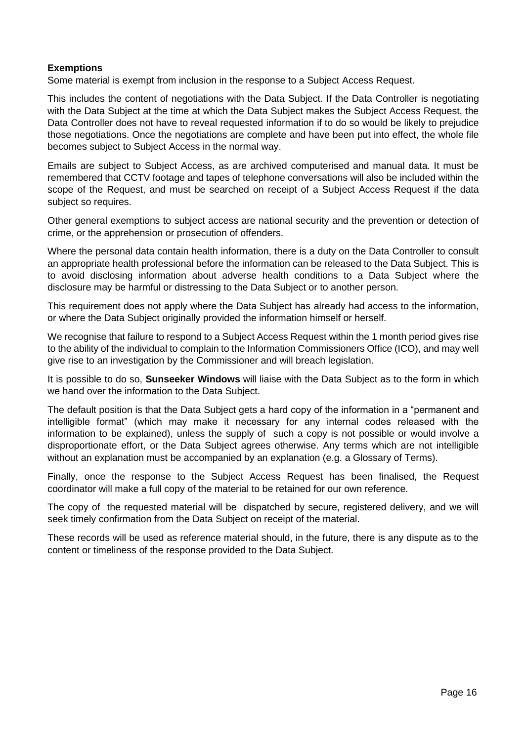## **Exemptions**

Some material is exempt from inclusion in the response to a Subject Access Request.

This includes the content of negotiations with the Data Subject. If the Data Controller is negotiating with the Data Subject at the time at which the Data Subject makes the Subject Access Request, the Data Controller does not have to reveal requested information if to do so would be likely to prejudice those negotiations. Once the negotiations are complete and have been put into effect, the whole file becomes subject to Subject Access in the normal way.

Emails are subject to Subject Access, as are archived computerised and manual data. It must be remembered that CCTV footage and tapes of telephone conversations will also be included within the scope of the Request, and must be searched on receipt of a Subject Access Request if the data subject so requires.

Other general exemptions to subject access are national security and the prevention or detection of crime, or the apprehension or prosecution of offenders.

Where the personal data contain health information, there is a duty on the Data Controller to consult an appropriate health professional before the information can be released to the Data Subject. This is to avoid disclosing information about adverse health conditions to a Data Subject where the disclosure may be harmful or distressing to the Data Subject or to another person.

This requirement does not apply where the Data Subject has already had access to the information, or where the Data Subject originally provided the information himself or herself.

We recognise that failure to respond to a Subject Access Request within the 1 month period gives rise to the ability of the individual to complain to the Information Commissioners Office (ICO), and may well give rise to an investigation by the Commissioner and will breach legislation.

It is possible to do so, **Sunseeker Windows** will liaise with the Data Subject as to the form in which we hand over the information to the Data Subject.

The default position is that the Data Subject gets a hard copy of the information in a "permanent and intelligible format" (which may make it necessary for any internal codes released with the information to be explained), unless the supply of such a copy is not possible or would involve a disproportionate effort, or the Data Subject agrees otherwise. Any terms which are not intelligible without an explanation must be accompanied by an explanation (e.g. a Glossary of Terms).

Finally, once the response to the Subject Access Request has been finalised, the Request coordinator will make a full copy of the material to be retained for our own reference.

The copy of the requested material will be dispatched by secure, registered delivery, and we will seek timely confirmation from the Data Subject on receipt of the material.

These records will be used as reference material should, in the future, there is any dispute as to the content or timeliness of the response provided to the Data Subject.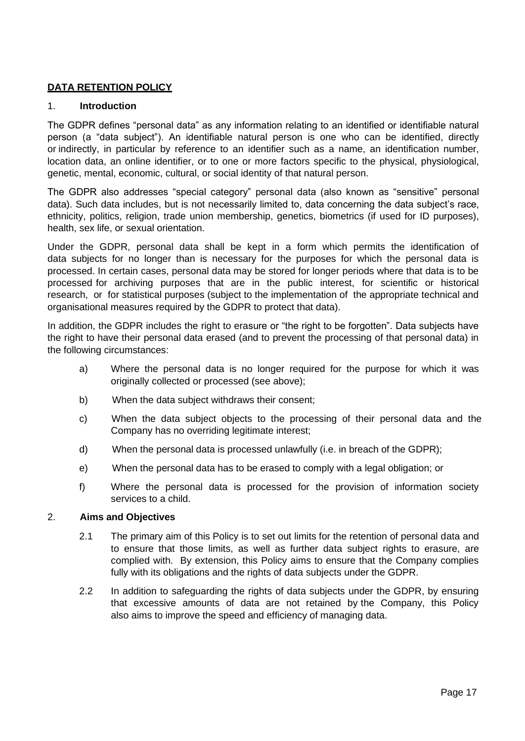## **DATA RETENTION POLICY**

## 1. **Introduction**

The GDPR defines "personal data" as any information relating to an identified or identifiable natural person (a "data subject"). An identifiable natural person is one who can be identified, directly or indirectly, in particular by reference to an identifier such as a name, an identification number, location data, an online identifier, or to one or more factors specific to the physical, physiological, genetic, mental, economic, cultural, or social identity of that natural person.

The GDPR also addresses "special category" personal data (also known as "sensitive" personal data). Such data includes, but is not necessarily limited to, data concerning the data subject's race, ethnicity, politics, religion, trade union membership, genetics, biometrics (if used for ID purposes), health, sex life, or sexual orientation.

Under the GDPR, personal data shall be kept in a form which permits the identification of data subjects for no longer than is necessary for the purposes for which the personal data is processed. In certain cases, personal data may be stored for longer periods where that data is to be processed for archiving purposes that are in the public interest, for scientific or historical research, or for statistical purposes (subject to the implementation of the appropriate technical and organisational measures required by the GDPR to protect that data).

In addition, the GDPR includes the right to erasure or "the right to be forgotten". Data subjects have the right to have their personal data erased (and to prevent the processing of that personal data) in the following circumstances:

- a) Where the personal data is no longer required for the purpose for which it was originally collected or processed (see above);
- b) When the data subject withdraws their consent;
- c) When the data subject objects to the processing of their personal data and the Company has no overriding legitimate interest;
- d) When the personal data is processed unlawfully (i.e. in breach of the GDPR);
- e) When the personal data has to be erased to comply with a legal obligation; or
- f) Where the personal data is processed for the provision of information society services to a child.

## 2. **Aims and Objectives**

- 2.1 The primary aim of this Policy is to set out limits for the retention of personal data and to ensure that those limits, as well as further data subject rights to erasure, are complied with. By extension, this Policy aims to ensure that the Company complies fully with its obligations and the rights of data subjects under the GDPR.
- 2.2 In addition to safeguarding the rights of data subjects under the GDPR, by ensuring that excessive amounts of data are not retained by the Company, this Policy also aims to improve the speed and efficiency of managing data.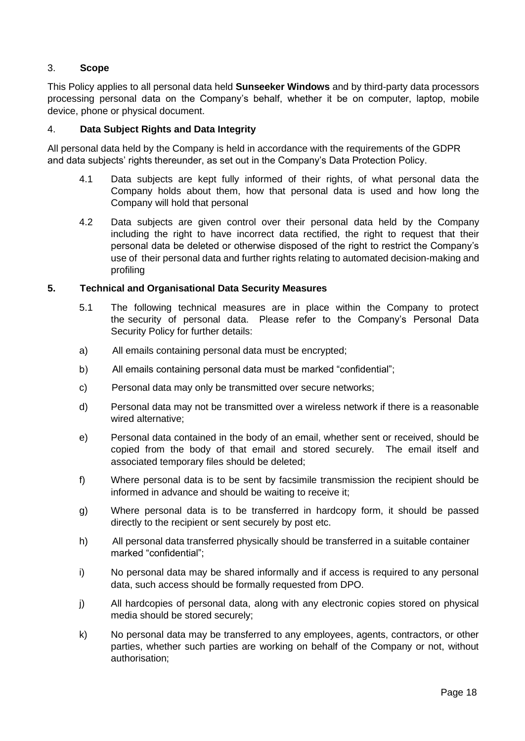## 3. **Scope**

This Policy applies to all personal data held **Sunseeker Windows** and by third-party data processors processing personal data on the Company's behalf, whether it be on computer, laptop, mobile device, phone or physical document.

## 4. **Data Subject Rights and Data Integrity**

All personal data held by the Company is held in accordance with the requirements of the GDPR and data subjects' rights thereunder, as set out in the Company's Data Protection Policy.

- 4.1 Data subjects are kept fully informed of their rights, of what personal data the Company holds about them, how that personal data is used and how long the Company will hold that personal
- 4.2 Data subjects are given control over their personal data held by the Company including the right to have incorrect data rectified, the right to request that their personal data be deleted or otherwise disposed of the right to restrict the Company's use of their personal data and further rights relating to automated decision-making and profiling

#### **5. Technical and Organisational Data Security Measures**

- 5.1 The following technical measures are in place within the Company to protect the security of personal data. Please refer to the Company's Personal Data Security Policy for further details:
- a) All emails containing personal data must be encrypted;
- b) All emails containing personal data must be marked "confidential";
- c) Personal data may only be transmitted over secure networks;
- d) Personal data may not be transmitted over a wireless network if there is a reasonable wired alternative;
- e) Personal data contained in the body of an email, whether sent or received, should be copied from the body of that email and stored securely. The email itself and associated temporary files should be deleted;
- f) Where personal data is to be sent by facsimile transmission the recipient should be informed in advance and should be waiting to receive it;
- g) Where personal data is to be transferred in hardcopy form, it should be passed directly to the recipient or sent securely by post etc.
- h) All personal data transferred physically should be transferred in a suitable container marked "confidential";
- i) No personal data may be shared informally and if access is required to any personal data, such access should be formally requested from DPO.
- j) All hardcopies of personal data, along with any electronic copies stored on physical media should be stored securely;
- k) No personal data may be transferred to any employees, agents, contractors, or other parties, whether such parties are working on behalf of the Company or not, without authorisation;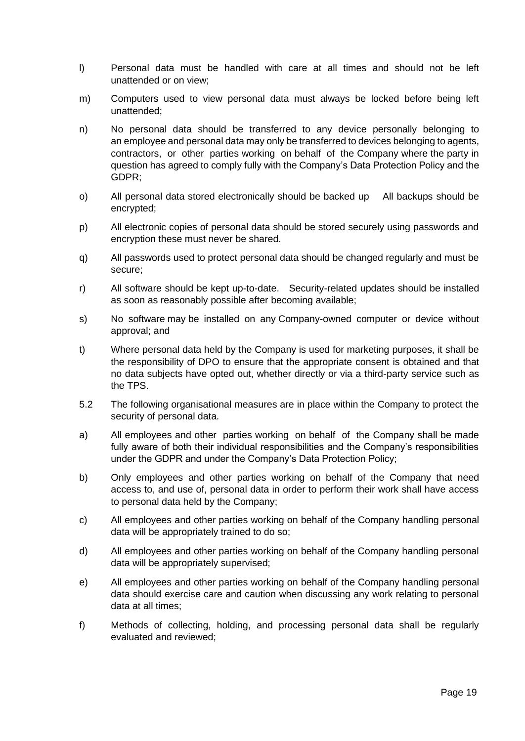- l) Personal data must be handled with care at all times and should not be left unattended or on view;
- m) Computers used to view personal data must always be locked before being left unattended;
- n) No personal data should be transferred to any device personally belonging to an employee and personal data may only be transferred to devices belonging to agents, contractors, or other parties working on behalf of the Company where the party in question has agreed to comply fully with the Company's Data Protection Policy and the GDPR;
- o) All personal data stored electronically should be backed up All backups should be encrypted;
- p) All electronic copies of personal data should be stored securely using passwords and encryption these must never be shared.
- q) All passwords used to protect personal data should be changed regularly and must be secure;
- r) All software should be kept up-to-date. Security-related updates should be installed as soon as reasonably possible after becoming available;
- s) No software may be installed on any Company-owned computer or device without approval; and
- t) Where personal data held by the Company is used for marketing purposes, it shall be the responsibility of DPO to ensure that the appropriate consent is obtained and that no data subjects have opted out, whether directly or via a third-party service such as the TPS.
- 5.2 The following organisational measures are in place within the Company to protect the security of personal data.
- a) All employees and other parties working on behalf of the Company shall be made fully aware of both their individual responsibilities and the Company's responsibilities under the GDPR and under the Company's Data Protection Policy;
- b) Only employees and other parties working on behalf of the Company that need access to, and use of, personal data in order to perform their work shall have access to personal data held by the Company;
- c) All employees and other parties working on behalf of the Company handling personal data will be appropriately trained to do so;
- d) All employees and other parties working on behalf of the Company handling personal data will be appropriately supervised;
- e) All employees and other parties working on behalf of the Company handling personal data should exercise care and caution when discussing any work relating to personal data at all times;
- f) Methods of collecting, holding, and processing personal data shall be regularly evaluated and reviewed;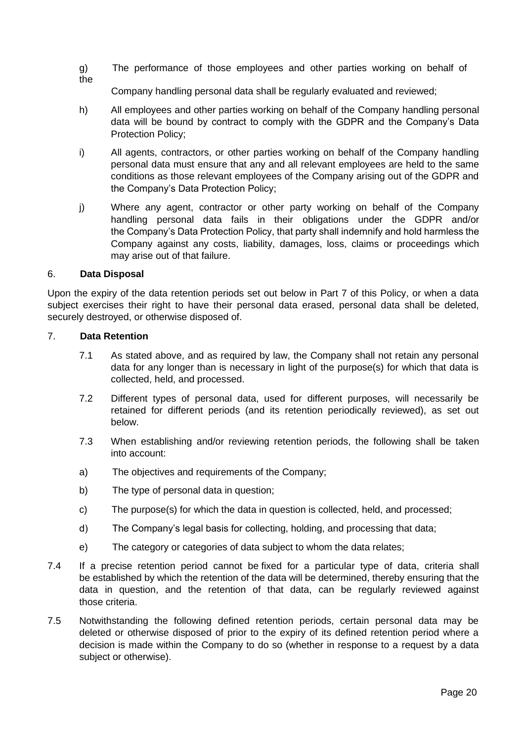g) The performance of those employees and other parties working on behalf of the

Company handling personal data shall be regularly evaluated and reviewed;

- h) All employees and other parties working on behalf of the Company handling personal data will be bound by contract to comply with the GDPR and the Company's Data Protection Policy;
- i) All agents, contractors, or other parties working on behalf of the Company handling personal data must ensure that any and all relevant employees are held to the same conditions as those relevant employees of the Company arising out of the GDPR and the Company's Data Protection Policy;
- j) Where any agent, contractor or other party working on behalf of the Company handling personal data fails in their obligations under the GDPR and/or the Company's Data Protection Policy, that party shall indemnify and hold harmless the Company against any costs, liability, damages, loss, claims or proceedings which may arise out of that failure.

#### 6. **Data Disposal**

Upon the expiry of the data retention periods set out below in Part 7 of this Policy, or when a data subject exercises their right to have their personal data erased, personal data shall be deleted, securely destroyed, or otherwise disposed of.

#### 7. **Data Retention**

- 7.1 As stated above, and as required by law, the Company shall not retain any personal data for any longer than is necessary in light of the purpose(s) for which that data is collected, held, and processed.
- 7.2 Different types of personal data, used for different purposes, will necessarily be retained for different periods (and its retention periodically reviewed), as set out below.
- 7.3 When establishing and/or reviewing retention periods, the following shall be taken into account:
- a) The objectives and requirements of the Company;
- b) The type of personal data in question;
- c) The purpose(s) for which the data in question is collected, held, and processed;
- d) The Company's legal basis for collecting, holding, and processing that data;
- e) The category or categories of data subject to whom the data relates;
- 7.4 If a precise retention period cannot be fixed for a particular type of data, criteria shall be established by which the retention of the data will be determined, thereby ensuring that the data in question, and the retention of that data, can be regularly reviewed against those criteria.
- 7.5 Notwithstanding the following defined retention periods, certain personal data may be deleted or otherwise disposed of prior to the expiry of its defined retention period where a decision is made within the Company to do so (whether in response to a request by a data subject or otherwise).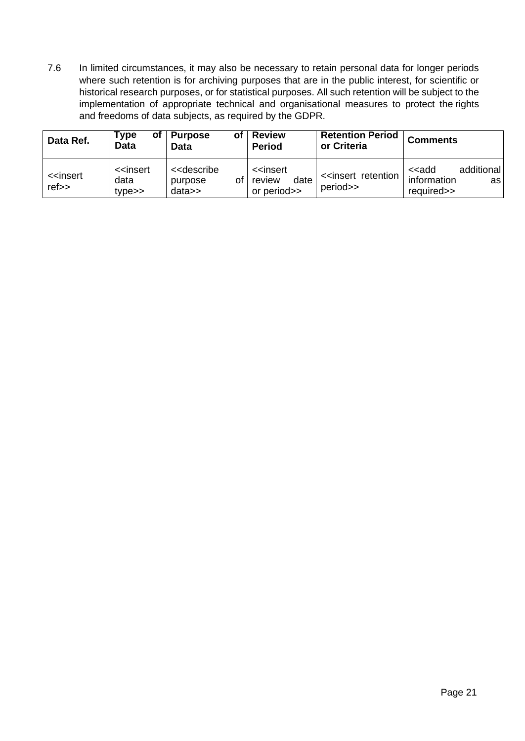7.6 In limited circumstances, it may also be necessary to retain personal data for longer periods where such retention is for archiving purposes that are in the public interest, for scientific or historical research purposes, or for statistical purposes. All such retention will be subject to the implementation of appropriate technical and organisational measures to protect the rights and freedoms of data subjects, as required by the GDPR.

| Data Ref.                                     | <b>Type</b><br>οt<br><b>Data</b>                                | <b>Purpose</b><br>οf<br><b>Data</b>                  | <b>Review</b><br><b>Period</b>                                 | <b>Retention Period</b><br>or Criteria            | <b>Comments</b>                                                           |
|-----------------------------------------------|-----------------------------------------------------------------|------------------------------------------------------|----------------------------------------------------------------|---------------------------------------------------|---------------------------------------------------------------------------|
| < <insert<br><math>ref \gt</math></insert<br> | < <insert<br>data<br/><math>type \rightarrow</math></insert<br> | < <describe<br>οf<br/>purpose<br/>data</describe<br> | < <insert<br>date<br/>review<br/>or period&gt;&gt;</insert<br> | < <insert retention<br="">period&gt;&gt;</insert> | additional<br>< <add<br>information<br/>asl<br/>required&gt;&gt;</add<br> |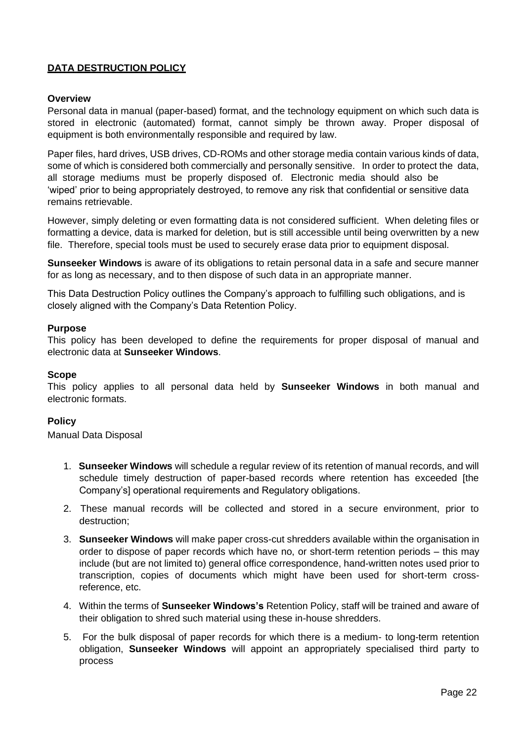## **DATA DESTRUCTION POLICY**

## **Overview**

Personal data in manual (paper-based) format, and the technology equipment on which such data is stored in electronic (automated) format, cannot simply be thrown away. Proper disposal of equipment is both environmentally responsible and required by law.

Paper files, hard drives, USB drives, CD-ROMs and other storage media contain various kinds of data, some of which is considered both commercially and personally sensitive. In order to protect the data, all storage mediums must be properly disposed of. Electronic media should also be 'wiped' prior to being appropriately destroyed, to remove any risk that confidential or sensitive data remains retrievable.

However, simply deleting or even formatting data is not considered sufficient. When deleting files or formatting a device, data is marked for deletion, but is still accessible until being overwritten by a new file. Therefore, special tools must be used to securely erase data prior to equipment disposal.

**Sunseeker Windows** is aware of its obligations to retain personal data in a safe and secure manner for as long as necessary, and to then dispose of such data in an appropriate manner.

This Data Destruction Policy outlines the Company's approach to fulfilling such obligations, and is closely aligned with the Company's Data Retention Policy.

#### **Purpose**

This policy has been developed to define the requirements for proper disposal of manual and electronic data at **Sunseeker Windows**.

#### **Scope**

This policy applies to all personal data held by **Sunseeker Windows** in both manual and electronic formats.

## **Policy**

Manual Data Disposal

- 1. **Sunseeker Windows** will schedule a regular review of its retention of manual records, and will schedule timely destruction of paper-based records where retention has exceeded [the Company's] operational requirements and Regulatory obligations.
- 2. These manual records will be collected and stored in a secure environment, prior to destruction;
- 3. **Sunseeker Windows** will make paper cross-cut shredders available within the organisation in order to dispose of paper records which have no, or short-term retention periods – this may include (but are not limited to) general office correspondence, hand-written notes used prior to transcription, copies of documents which might have been used for short-term crossreference, etc.
- 4. Within the terms of **Sunseeker Windows's** Retention Policy, staff will be trained and aware of their obligation to shred such material using these in-house shredders.
- 5. For the bulk disposal of paper records for which there is a medium- to long-term retention obligation, **Sunseeker Windows** will appoint an appropriately specialised third party to process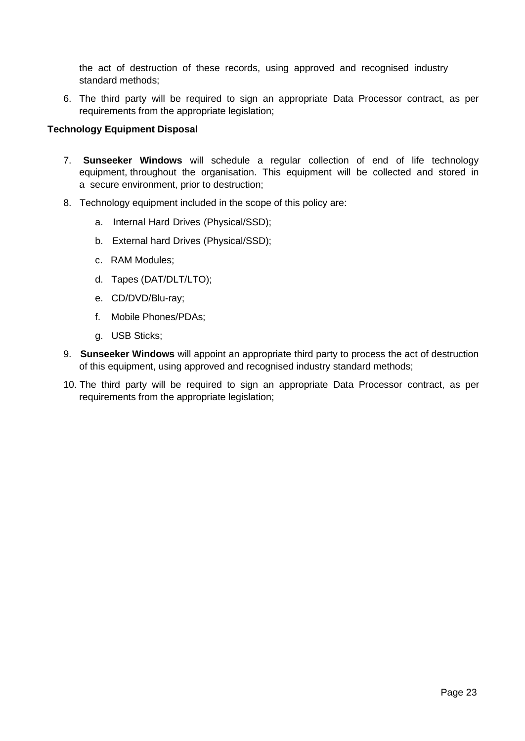the act of destruction of these records, using approved and recognised industry standard methods;

6. The third party will be required to sign an appropriate Data Processor contract, as per requirements from the appropriate legislation;

### **Technology Equipment Disposal**

- 7. **Sunseeker Windows** will schedule a regular collection of end of life technology equipment, throughout the organisation. This equipment will be collected and stored in a secure environment, prior to destruction;
- 8. Technology equipment included in the scope of this policy are:
	- a. Internal Hard Drives (Physical/SSD);
	- b. External hard Drives (Physical/SSD);
	- c. RAM Modules;
	- d. Tapes (DAT/DLT/LTO);
	- e. CD/DVD/Blu-ray;
	- f. Mobile Phones/PDAs;
	- g. USB Sticks;
- 9. **Sunseeker Windows** will appoint an appropriate third party to process the act of destruction of this equipment, using approved and recognised industry standard methods;
- 10. The third party will be required to sign an appropriate Data Processor contract, as per requirements from the appropriate legislation;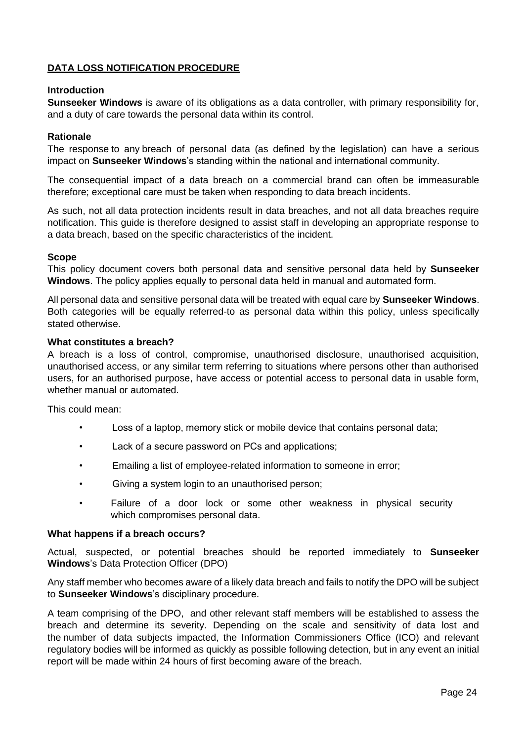## **DATA LOSS NOTIFICATION PROCEDURE**

#### **Introduction**

**Sunseeker Windows** is aware of its obligations as a data controller, with primary responsibility for, and a duty of care towards the personal data within its control.

#### **Rationale**

The response to any breach of personal data (as defined by the legislation) can have a serious impact on **Sunseeker Windows**'s standing within the national and international community.

The consequential impact of a data breach on a commercial brand can often be immeasurable therefore; exceptional care must be taken when responding to data breach incidents.

As such, not all data protection incidents result in data breaches, and not all data breaches require notification. This guide is therefore designed to assist staff in developing an appropriate response to a data breach, based on the specific characteristics of the incident.

#### **Scope**

This policy document covers both personal data and sensitive personal data held by **Sunseeker Windows**. The policy applies equally to personal data held in manual and automated form.

All personal data and sensitive personal data will be treated with equal care by **Sunseeker Windows**. Both categories will be equally referred-to as personal data within this policy, unless specifically stated otherwise.

### **What constitutes a breach?**

A breach is a loss of control, compromise, unauthorised disclosure, unauthorised acquisition, unauthorised access, or any similar term referring to situations where persons other than authorised users, for an authorised purpose, have access or potential access to personal data in usable form, whether manual or automated.

This could mean:

- Loss of a laptop, memory stick or mobile device that contains personal data;
- Lack of a secure password on PCs and applications;
- Emailing a list of employee-related information to someone in error;
- Giving a system login to an unauthorised person;
- Failure of a door lock or some other weakness in physical security which compromises personal data.

#### **What happens if a breach occurs?**

Actual, suspected, or potential breaches should be reported immediately to **Sunseeker Windows**'s Data Protection Officer (DPO)

Any staff member who becomes aware of a likely data breach and fails to notify the DPO will be subject to **Sunseeker Windows**'s disciplinary procedure.

A team comprising of the DPO, and other relevant staff members will be established to assess the breach and determine its severity. Depending on the scale and sensitivity of data lost and the number of data subjects impacted, the Information Commissioners Office (ICO) and relevant regulatory bodies will be informed as quickly as possible following detection, but in any event an initial report will be made within 24 hours of first becoming aware of the breach.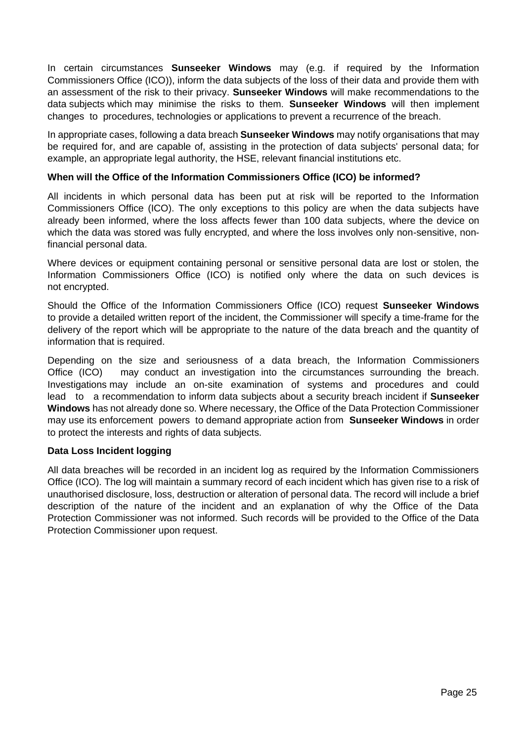In certain circumstances **Sunseeker Windows** may (e.g. if required by the Information Commissioners Office (ICO)), inform the data subjects of the loss of their data and provide them with an assessment of the risk to their privacy. **Sunseeker Windows** will make recommendations to the data subjects which may minimise the risks to them. **Sunseeker Windows** will then implement changes to procedures, technologies or applications to prevent a recurrence of the breach.

In appropriate cases, following a data breach **Sunseeker Windows** may notify organisations that may be required for, and are capable of, assisting in the protection of data subjects' personal data; for example, an appropriate legal authority, the HSE, relevant financial institutions etc.

## **When will the Office of the Information Commissioners Office (ICO) be informed?**

All incidents in which personal data has been put at risk will be reported to the Information Commissioners Office (ICO). The only exceptions to this policy are when the data subjects have already been informed, where the loss affects fewer than 100 data subjects, where the device on which the data was stored was fully encrypted, and where the loss involves only non-sensitive, nonfinancial personal data.

Where devices or equipment containing personal or sensitive personal data are lost or stolen, the Information Commissioners Office (ICO) is notified only where the data on such devices is not encrypted.

Should the Office of the Information Commissioners Office (ICO) request **Sunseeker Windows**  to provide a detailed written report of the incident, the Commissioner will specify a time-frame for the delivery of the report which will be appropriate to the nature of the data breach and the quantity of information that is required.

Depending on the size and seriousness of a data breach, the Information Commissioners Office (ICO) may conduct an investigation into the circumstances surrounding the breach. Investigations may include an on-site examination of systems and procedures and could lead to a recommendation to inform data subjects about a security breach incident if **Sunseeker Windows** has not already done so. Where necessary, the Office of the Data Protection Commissioner may use its enforcement powers to demand appropriate action from **Sunseeker Windows** in order to protect the interests and rights of data subjects.

## **Data Loss Incident logging**

All data breaches will be recorded in an incident log as required by the Information Commissioners Office (ICO). The log will maintain a summary record of each incident which has given rise to a risk of unauthorised disclosure, loss, destruction or alteration of personal data. The record will include a brief description of the nature of the incident and an explanation of why the Office of the Data Protection Commissioner was not informed. Such records will be provided to the Office of the Data Protection Commissioner upon request.